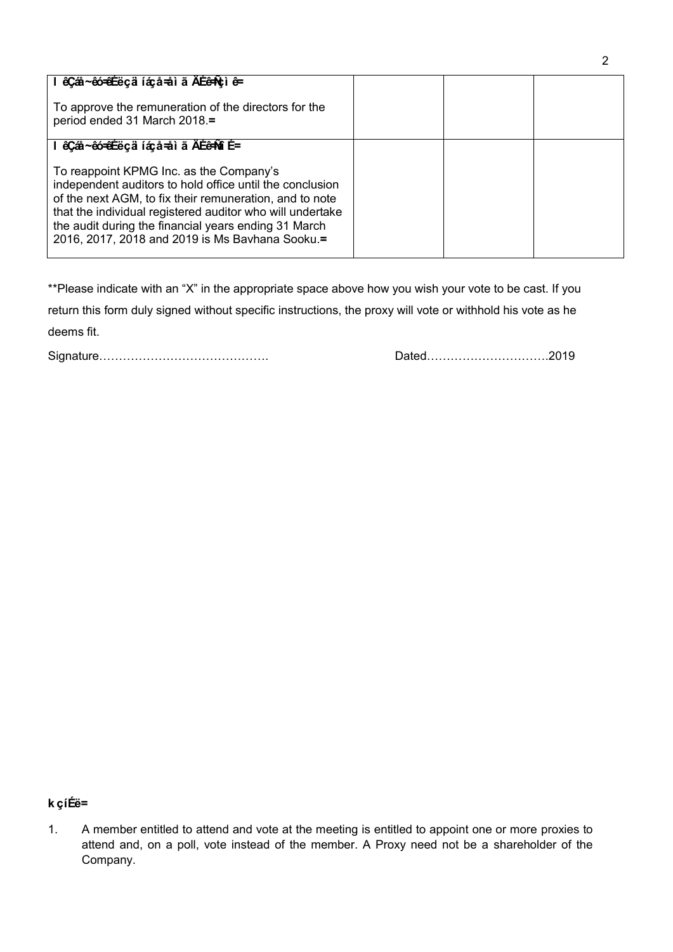| Ordinary resolution number four                                                                                                                                                                                                                                                                                                       |  |  |
|---------------------------------------------------------------------------------------------------------------------------------------------------------------------------------------------------------------------------------------------------------------------------------------------------------------------------------------|--|--|
| To approve the remuneration of the directors for the<br>period ended 31 March 2018.                                                                                                                                                                                                                                                   |  |  |
| <b>Ordinary resolution number five</b>                                                                                                                                                                                                                                                                                                |  |  |
| To reappoint KPMG Inc. as the Company's<br>independent auditors to hold office until the conclusion<br>of the next AGM, to fix their remuneration, and to note<br>that the individual registered auditor who will undertake<br>the audit during the financial years ending 31 March<br>2016, 2017, 2018 and 2019 is Ms Bavhana Sooku. |  |  |

\*\*Please indicate with an "X" in the appropriate space above how you wish your vote to be cast. If you

return this form duly signed without specific instructions, the proxy will vote or withhold his vote as he deems fit.

Signature……………………………………. Dated………………………….2019

## **Notes**

1. A member entitled to attend and vote at the meeting is entitled to appoint one or more proxies to attend and, on a poll, vote instead of the member. A Proxy need not be a shareholder of the Company.